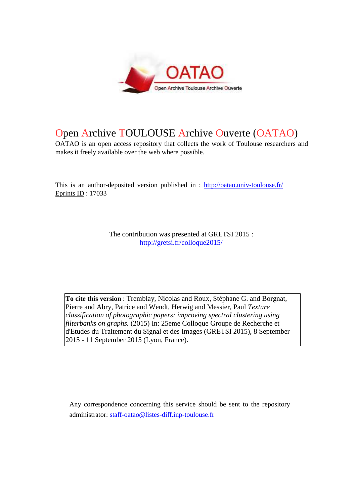

# Open Archive TOULOUSE Archive Ouverte (OATAO)

OATAO is an open access repository that collects the work of Toulouse researchers and makes it freely available over the web where possible.

This is an author-deposited version published in : http://oatao.univ-toulouse.fr/ Eprints ID : 17033

> The contribution was presented at GRETSI 2015 : http://gretsi.fr/colloque2015/

**To cite this version** : Tremblay, Nicolas and Roux, Stéphane G. and Borgnat, Pierre and Abry, Patrice and Wendt, Herwig and Messier, Paul *Texture classification of photographic papers: improving spectral clustering using filterbanks on graphs.* (2015) In: 25eme Colloque Groupe de Recherche et d'Etudes du Traitement du Signal et des Images (GRETSI 2015), 8 September 2015 - 11 September 2015 (Lyon, France).

Any correspondence concerning this service should be sent to the repository administrator: staff-oatao@listes-diff.inp-toulouse.fr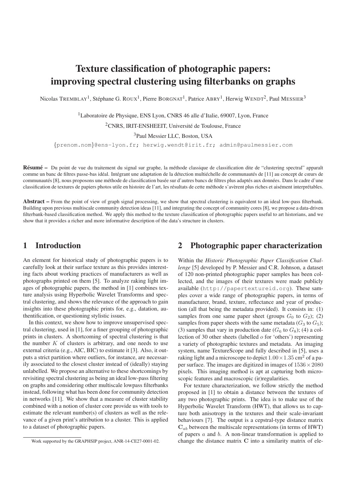## Texture classification of photographic papers: improving spectral clustering using filterbanks on graphs

Nicolas TREMBLAY<sup>1</sup>, Stéphane G. ROUX<sup>1</sup>, Pierre BORGNAT<sup>1</sup>, Patrice ABRY<sup>1</sup>, Herwig WENDT<sup>2</sup>, Paul MESSIER<sup>3</sup>

<sup>1</sup>Laboratoire de Physique, ENS Lyon, CNRS 46 alle d'Italie, 69007, Lyon, France

<sup>2</sup>CNRS, IRIT-ENSHEEIT, Université de Toulouse, France

<sup>3</sup>Paul Messier LLC, Boston, USA

{prenom.nom}@ens-lyon.fr; herwig.wendt@irit.fr; admin@paulmessier.com

Résumé – Du point de vue du traitement du signal sur graphe, la méthode classique de classification dite de "clustering spectral" apparaît comme un banc de filtres passe-bas idéal. Intégrant une adaptation de la détection multiéchelle de communautés de [11] au concept de cœurs de communautés [8], nous proposons une méthode de classification basée sur d'autres bancs de filtres plus adaptés aux données. Dans le cadre d'une classification de textures de papiers photos utile en histoire de l'art, les résultats de cette méthode s'avèrent plus riches et aisément interprétables.

Abstract – From the point of view of graph signal processing, we show that spectral clustering is equivalent to an ideal low-pass filterbank. Building upon previous multiscale community detection ideas [11], and integrating the concept of community cores [8], we propose a data-driven filterbank-based classification method. We apply this method to the texture classification of photographic papers useful to art historians, and we show that it provides a richer and more informative description of the data's structure in clusters.

## 1 Introduction

An element for historical study of photographic papers is to carefully look at their surface texture as this provides interesting facts about working practices of manufacturers as well as photographs printed on them [5]. To analyze raking light images of photographic papers, the method in [1] combines texture analysis using Hyperbolic Wavelet Transforms and spectral clustering, and shows the relevance of the approach to gain insights into these photographic prints for, e.g., datation, authentification, or questioning stylistic issues.

In this context, we show how to improve unsupervised spectral clustering, used in [1], for a finer grouping of photographic prints in clusters. A shortcoming of spectral clustering is that the number  $K$  of clusters is arbitrary, and one needs to use external criteria (e.g., AIC, BIC) to estimate it [3]. Also, it outputs a strict partition where outliers, for instance, are necessarily associated to the closest cluster instead of (ideally) staying unlabelled. We propose an alternative to these shortcomings by revisiting spectral clustering as being an ideal low-pass filtering on graphs and considering other multiscale lowpass filterbanks instead, following what has been done for community detection in networks [11]. We show that a measure of cluster stability combined with a notion of cluster core provide us with tools to estimate the relevant number(s) of clusters as well as the relevance of a given print's attribution to a cluster. This is applied to a dataset of photographic papers.

## 2 Photographic paper characterization

Within the *Historic Photographic Paper Classification Challenge* [5] developed by P. Messier and C.R. Johnson, a dataset of 120 non-printed photographic paper samples has been collected, and the images of their textures were made publicly available (http://papertextureid.org). These samples cover a wide range of photographic papers, in terms of manufacturer, brand, texture, reflectance and year of production (all that being the metadata provided). It consists in: (1) samples from one same paper sheet (groups  $G_0$  to  $G_2$ ); (2) samples from paper sheets with the same metadata ( $G_3$  to  $G_5$ ); (3) samples that vary in production date  $(G_6 \text{ to } G_8)$ ; (4) a collection of 30 other sheets (labelled o for 'others') representing a variety of photographic textures and metadata. An imaging system, name TextureScope and fully described in [5], uses a raking light and a microscope to depict  $1.00 \times 1.35$  cm<sup>2</sup> of a paper surface. The images are digitized in images of  $1536 \times 2080$ pixels. This imaging method is apt at capturing both microscopic features and macroscopic (ir)regularities.

For texture characterization, we follow strictly the method proposed in [1] to obtain a distance between the textures of any two photographic prints. The idea is to make use of the Hyperbolic Wavelet Transform (HWT), that allows us to capture both anisotropy in the textures and their scale-invariant behaviours [7]. The output is a cepstral-type distance matrix  $C_{ab}$  between the multiscale representations (in terms of HWT) of papers  $a$  and  $b$ . A non-linear transformation is applied to change the distance matrix C into a similarity matrix of ele-

Work supported by the GRAPHSIP project, ANR-14-CE27-0001-02.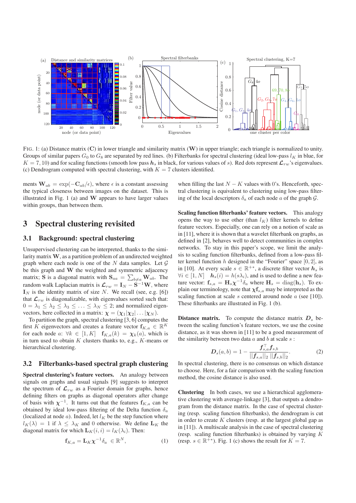

FIG. 1: (a) Distance matrix (C) in lower triangle and similarity matrix (W) in upper triangle; each triangle is normalized to unity. Groups of similar papers  $G_0$  to  $G_8$  are separated by red lines. (b) Filterbanks for spectral clustering (ideal low-pass  $l_K$  in blue, for  $K = 7, 10$ ) and for scaling functions (smooth low pass  $h_s$  in black, for various values of s). Red dots represent  $\mathcal{L}_{rw}$ 's eigenvalues. (c) Dendrogram computed with spectral clustering, with  $K = 7$  clusters identified.

ments  $\mathbf{W}_{ab} = \exp(-\mathbf{C}_{ab}/\epsilon)$ , where  $\epsilon$  is a constant assessing the typical closeness between images on the dataset. This is illustrated in Fig. 1 (a) and  $W$  appears to have larger values within groups, than between them.

### 3 Spectral clustering revisited

#### 3.1 Background: spectral clustering

Unsupervised clustering can be interpreted, thanks to the similarity matrix  $W$ , as a partition problem of an undirected weighted graph where each node is one of the N data samples. Let  $\mathcal G$ be this graph and W the weighted and symmetric adjacency matrix; **S** is a diagonal matrix with  $\mathbf{S}_{aa} = \sum_{b \neq a} \mathbf{W}_{ab}$ . The random walk Laplacian matrix is  $\mathcal{L}_{rw} = \mathbf{I}_N - \dot{\mathbf{S}}^{-1}\mathbf{W}$ , where  $I<sub>N</sub>$  is the identity matrix of size N. We recall (see, e.g. [6]) that  $\mathcal{L}_{rw}$  is diagonalizable, with eigenvalues sorted such that:  $0 = \lambda_1 \leq \lambda_2 \leq \lambda_3 \leq \ldots \leq \lambda_N \leq 2$ ; and normalized eigenvectors, here collected in a matrix:  $\chi = (\chi_1|\chi_2| \dots |\chi_N)$ .

To partition the graph, spectral clustering [3, 6] computes the first K eigenvectors and creates a feature vector  $f_{K,a} \in \mathbb{R}^K$ for each node a:  $\forall k \in [1, K]$   $\mathbf{f}_{K,a}(k) = \chi_k(a)$ , which is in turn used to obtain  $K$  clusters thanks to, e.g.,  $K$ -means or hierarchical clustering.

#### 3.2 Filterbanks-based spectral graph clustering

Spectral clustering's feature vectors. An analogy between signals on graphs and usual signals [9] suggests to interpret the spectrum of  $\mathcal{L}_{rw}$  as a Fourier domain for graphs, hence defining filters on graphs as diagonal operators after change of basis with  $\chi^{-1}$ . It turns out that the features  $f_{K,a}$  can be obtained by ideal low-pass filtering of the Delta function  $\delta_a$ (localized at node  $a$ ). Indeed, let  $l_K$  be the step function where  $l_K(\lambda) = 1$  if  $\lambda \leq \lambda_K$  and 0 otherwise. We define  $\mathbf{L}_K$  the diagonal matrix for which  $\mathbf{L}_K(i, i) = l_K(\lambda_i)$ . Then:

$$
\mathbf{f}_{K,a} = \mathbf{L}_K \boldsymbol{\chi}^{-1} \delta_a \in \mathbb{R}^N, \tag{1}
$$

when filling the last  $N - K$  values with 0's. Henceforth, spectral clustering is equivalent to clustering using low-pass filtering of the local descriptors  $\delta_a$  of each node a of the graph  $\mathcal{G}$ .

Scaling function filterbanks' feature vectors. This analogy opens the way to use other (than  $l_K$ ) filter kernels to define feature vectors. Especially, one can rely on a notion of scale as in [11], where it is shown that a wavelet filterbank on graphs, as defined in [2], behaves well to detect communities in complex networks. To stay in this paper's scope, we limit the analysis to scaling function filterbanks, defined from a low-pass filter kernel function  $h$  designed in the "Fourier" space  $[0, 2]$ , as in [10]. At every scale  $s \in \mathbb{R}^{+*}$ , a discrete filter vector  $h_s$  is  $\forall i \in [1, N]$   $\boldsymbol{h}_s(i) = h(s\lambda_i)$ , and is used to define a new feature vector:  $\mathbf{f}_{s,a} = \mathbf{H}_s \chi^{-1} \delta_a$  where  $\mathbf{H}_s = \text{diag}(\mathbf{h}_s)$ . To explain our terminology, note that  $\chi f_{s,a}$  may be interpreted as the scaling function at scale  $s$  centered around node  $a$  (see [10]). These filterbanks are illustrated in Fig. 1 (b).

**Distance matrix.** To compute the distance matrix  $D_s$  between the scaling function's feature vectors, we use the cosine distance, as it was shown in [11] to be a good measurement of the similarity between two data  $a$  and  $b$  at scale  $s$ :

$$
D_s(a,b) = 1 - \frac{f_{s,a}^{\top} f_{s,b}}{||f_{s,a}||_2 ||f_{s,b}||_2}.
$$
 (2)

In spectral clustering, there is no consensus on which distance to choose. Here, for a fair comparison with the scaling function method, the cosine distance is also used.

Clustering In both cases, we use a hierarchical agglomerative clustering with average-linkage [3], that outputs a dendrogram from the distance matrix. In the case of spectral clustering (resp. scaling function filterbanks), the dendrogram is cut in order to create  $K$  clusters (resp. at the largest global gap as in [11]). A multiscale analysis in the case of spectral clustering (resp. scaling function filterbanks) is obtained by varying  $K$ (resp.  $s \in \mathbb{R}^{+*}$ ). Fig. 1 (c) shows the result for  $K = 7$ .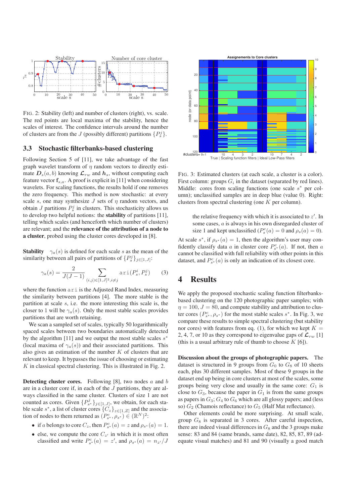

FIG. 2: Stability (left) and number of clusters (right), vs. scale. The red points are local maxima of the stability, hence the scales of interest. The confidence intervals around the number of clusters are from the J (possibly different) partitions  $\{P_s^j\}$ .

#### 3.3 Stochastic filterbanks-based clustering

Following Section 5 of [11], we take advantage of the fast graph wavelet transform of  $\eta$  random vectors to directly estimate  $D_s(a, b)$  knowing  $\mathcal{L}_{rw}$  and  $h_s$ , without computing each feature vector  $f_{s,a}$ . A proof is explicit in [11] when considering wavelets. For scaling functions, the results hold if one removes the zero frequency. This method is now stochastic: at every scale s, one may synthesize  $J$  sets of  $n$  random vectors, and obtain  $J$  partitions  $P_s^j$  in clusters. This stochasticity allows us to develop two helpful notions: the stability of partitions [11], telling which scales (and henceforth which number of clusters) are relevant; and the relevance of the attribution of a node to a cluster, probed using the cluster cores developed in [8].

**Stability**  $\gamma_a(s)$  is defined for each scale s as the mean of the similarity between all pairs of partitions of  $\{P_s^j\}_{j\in[1,J]}$ :

$$
\gamma_a(s) = \frac{2}{J(J-1)} \sum_{(i,j) \in [1,J]^2, i \neq j} \text{ari}(P_s^i, P_s^j) \tag{3}
$$

where the function  $ar{i}$  is the Adjusted Rand Index, measuring the similarity between partitions [4]. The more stable is the partition at scale s, i.e. the more interesting this scale is, the closer to 1 will be  $\gamma_a(s)$ . Only the most stable scales provides partitions that are worth retaining.

We scan a sampled set of scales, typically 50 logarithmically spaced scales between two boundaries automatically detected by the algorithm [11] and we output the most stable scales  $s^*$ (local maxima of  $\gamma_a(s)$ ) and their associated partitions. This also gives an estimation of the number  $K$  of clusters that are relevant to keep. It bypasses the issue of choosing or estimating  $K$  in classical spectral clustering. This is illustrated in Fig. 2.

**Detecting cluster cores.** Following [8], two nodes  $a$  and  $b$ are in a cluster core if, in each of the J partitions, they are always classified in the same cluster. Clusters of size 1 are not counted as cores. Given  $\{P_{s^*}^j\}_{j\in[1,J]},$  we obtain, for each stable scale  $s^*$ , a list of cluster cores  $\{C_z\}_{z \in [1, Z]}$  and the association of nodes to them returned as  $(P_{s^*}^c, \rho_{s^*}) \in (\mathbb{R}^N)^2$ :

- if a belongs to core  $C_z$ , then  $P_{s^*}^c(a) = z$  and  $\rho_{s^*}(a) = 1$ .
- else, we compute the core  $C_{z'}$  in which it is most often classified and write  $P_{s^*}^c(a) = z'$ , and  $\rho_{s^*}(a) = n_{z'}/J$



FIG. 3: Estimated clusters (at each scale, a cluster is a color). First column: groups  $G_i$  in the dataset (separated by red lines). Middle: cores from scaling functions (one scale  $s^*$  per column); unclassified samples are in deep blue (value 0). Right: clusters from spectral clustering (one K per column).

the relative frequency with which it is associated to  $z'$ . In some cases, a is always in his own disregarded cluster of size 1 and kept unclassified ( $P_s^c(a) = 0$  and  $\rho_s(a) = 0$ ).

At scale  $s^*$ , if  $\rho_{s^*}(a) = 1$ , then the algorithm's user may confidently classify data a in cluster core  $P_{s^*}^c(a)$ . If not, then a cannot be classified with full reliability with other points in this dataset, and  $P_{s^*}^c(a)$  is only an indication of its closest core.

## 4 Results

We apply the proposed stochastic scaling function filterbanksbased clustering on the 120 photographic paper samples; with  $\eta = 100$ ,  $J = 80$ , and compute stability and attribution to cluster cores  $(P_{s^*}^c, \rho_{s^*})$  for the most stable scales  $s^*$ . In Fig. 3, we compare these results to simple spectral clustering (but stability nor cores) with features from eq. (1), for which we kept  $K =$ 2, 4, 7, or 10 as they correspond to eigenvalue gaps of  $\mathcal{L}_{rw}$  [1] (this is a usual arbitrary rule of thumb to choose  $K$  [6]).

Discussion about the groups of photographic papers. The dataset is structured in 9 groups from  $G_0$  to  $G_8$  of 10 sheets each, plus 30 different samples. Most of these 9 groups in the dataset end up being in core clusters at most of the scales, some groups being very close and usually in the same core:  $G_1$  is close to  $G_3$ , because the paper in  $G_1$  is from the same groups as papers in  $G_3$ ;  $G_4$  to  $G_6$  which are all glossy papers; and (less so)  $G_2$  (Chamois reflectance) to  $G_5$  (Half Mat reflectance).

Other elements could be more surprising. At small scale, group  $G_8$  is separated in 3 cores. After careful inspection, there are indeed visual differences in  $G_8$  and the 3 groups make sense: 83 and 84 (same brands, same date), 82, 85, 87, 89 (adequate visual matches) and 81 and 90 (visually a good match